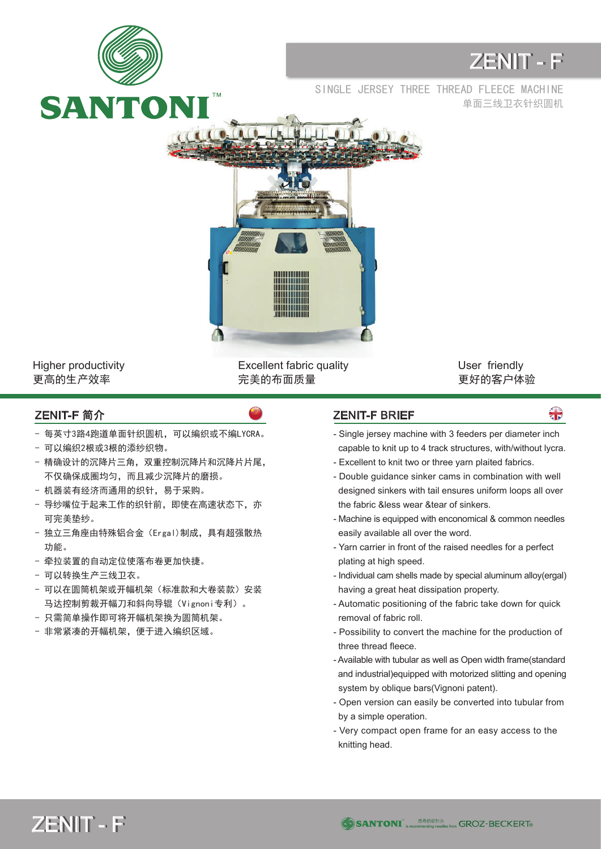

Higher productivity 更高的生产效率

Excellent fabric quality 完美的布面质量

User friendly 更好的客户体验

- 每英寸3路4跑道单面针织圆机,可以编织或不编LYCRA。
- 可以编织2根或3根的添纱织物。
- 精确设计的沉降片三角,双重控制沉降片和沉降片片尾, 不仅确保成圈均匀,而且减少沉降片的磨损。
- 机器装有经济而通用的织针,易于采购。
- 导纱嘴位于起来工作的织针前, 即使在高速状态下, 亦 可完美垫纱。
- 独立三角座由特殊铝合金(Ergal)制成,具有超强散热 功能。
- 牵拉装置的自动定位使落布卷更加快捷。
- 可以转换生产三线卫衣。
- 可以在圆筒机架或开幅机架(标准款和大卷装款)安装 马达控制剪裁开幅刀和斜向导辊(Vignoni专利)。
- 只需简单操作即可将开幅机架换为圆筒机架。
- 非常紧凑的开幅机架,便于进入编织区域。

## ZENIT-F 简介 ZENIT-F BRIEF

용

- Single jersey machine with 3 feeders per diameter inch capable to knit up to 4 track structures, with/without lycra.
- Excellent to knit two or three yarn plaited fabrics.
- Double guidance sinker cams in combination with well designed sinkers with tail ensures uniform loops all over the fabric &less wear &tear of sinkers.
- Machine is equipped with enconomical & common needles easily available all over the word.
- Yarn carrier in front of the raised needles for a perfect plating at high speed.
- Individual cam shells made by special aluminum alloy(ergal) having a great heat dissipation property.
- Automatic positioning of the fabric take down for quick removal of fabric roll.
- Possibility to convert the machine for the production of three thread fleece.
- Available with tubular as well as Open width frame(standard and industrial)equipped with motorized slitting and opening system by oblique bars(Vignoni patent).
- Open version can easily be converted into tubular from by a simple operation.
- Very compact open frame for an easy access to the knitting head.